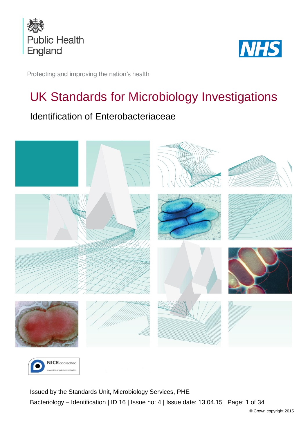



Protecting and improving the nation's health

# UK Standards for Microbiology Investigations

## Identification of Enterobacteriaceae





<span id="page-0-0"></span>Issued by the Standards Unit, Microbiology Services, PHE Bacteriology – Identification | ID 16 | Issue no: 4 | Issue date: 13.04.15 | Page: 1 of 34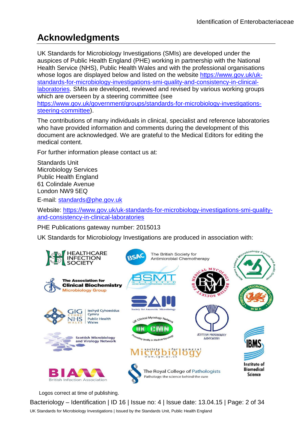## **Acknowledgments**

UK Standards for Microbiology Investigations (SMIs) are developed under the auspices of Public Health England (PHE) working in partnership with the National Health Service (NHS), Public Health Wales and with the professional organisations whose logos are displayed below and listed on the website [https://www.gov.uk/uk](https://www.gov.uk/uk-standards-for-microbiology-investigations-smi-quality-and-consistency-in-clinical-laboratories)[standards-for-microbiology-investigations-smi-quality-and-consistency-in-clinical](https://www.gov.uk/uk-standards-for-microbiology-investigations-smi-quality-and-consistency-in-clinical-laboratories)[laboratories.](https://www.gov.uk/uk-standards-for-microbiology-investigations-smi-quality-and-consistency-in-clinical-laboratories) SMIs are developed, reviewed and revised by various working groups which are overseen by a steering committee (see [https://www.gov.uk/government/groups/standards-for-microbiology-investigations](https://www.gov.uk/government/groups/standards-for-microbiology-investigations-steering-committee)[steering-committee\)](https://www.gov.uk/government/groups/standards-for-microbiology-investigations-steering-committee).

The contributions of many individuals in clinical, specialist and reference laboratories who have provided information and comments during the development of this document are acknowledged. We are grateful to the Medical Editors for editing the medical content.

For further information please contact us at:

Standards Unit Microbiology Services Public Health England 61 Colindale Avenue London NW9 5EQ

E-mail: [standards@phe.gov.uk](mailto:standards@phe.gov.uk)

Website: [https://www.gov.uk/uk-standards-for-microbiology-investigations-smi-quality](https://www.gov.uk/uk-standards-for-microbiology-investigations-smi-quality-and-consistency-in-clinical-laboratories)[and-consistency-in-clinical-laboratories](https://www.gov.uk/uk-standards-for-microbiology-investigations-smi-quality-and-consistency-in-clinical-laboratories)

PHE Publications gateway number: 2015013

UK Standards for Microbiology Investigations are produced in association with:



Logos correct at time of publishing.

Bacteriology – Identification | ID 16 | Issue no: 4 | Issue date: 13.04.15 | Page: 2 of 34 UK Standards for Microbiology Investigations | Issued by the Standards Unit, Public Health England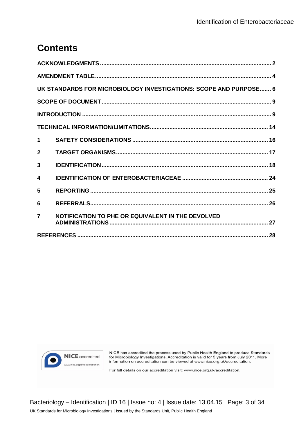## **Contents**

| UK STANDARDS FOR MICROBIOLOGY INVESTIGATIONS: SCOPE AND PURPOSE 6 |                                                   |  |  |  |
|-------------------------------------------------------------------|---------------------------------------------------|--|--|--|
|                                                                   |                                                   |  |  |  |
|                                                                   |                                                   |  |  |  |
|                                                                   |                                                   |  |  |  |
| $\mathbf 1$                                                       |                                                   |  |  |  |
| $\overline{2}$                                                    |                                                   |  |  |  |
| 3                                                                 |                                                   |  |  |  |
| 4                                                                 |                                                   |  |  |  |
| 5                                                                 |                                                   |  |  |  |
| 6                                                                 |                                                   |  |  |  |
| $\overline{7}$                                                    | NOTIFICATION TO PHE OR EQUIVALENT IN THE DEVOLVED |  |  |  |
|                                                                   |                                                   |  |  |  |



NICE has accredited the process used by Public Health England to produce Standards for Microbiology Investigations. Accreditation is valid for 5 years from July 2011. More information on accreditation can be viewed at www.nice.org.uk/accreditation.

For full details on our accreditation visit: www.nice.org.uk/accreditation.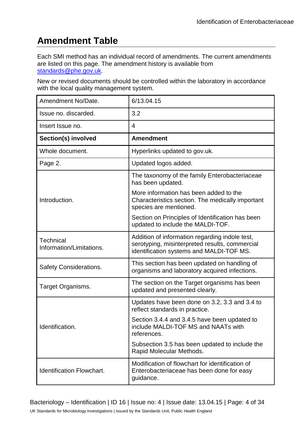## **Amendment Table**

Each SMI method has an individual record of amendments. The current amendments are listed on this page. The amendment history is available from [standards@phe.gov.uk.](mailto:standards@phe.gov.uk)

New or revised documents should be controlled within the laboratory in accordance with the local quality management system.

| Amendment No/Date.                    | 6/13.04.15                                                                                                                                   |
|---------------------------------------|----------------------------------------------------------------------------------------------------------------------------------------------|
| Issue no. discarded.                  | 3.2                                                                                                                                          |
| Insert Issue no.                      | $\overline{4}$                                                                                                                               |
| Section(s) involved                   | <b>Amendment</b>                                                                                                                             |
| Whole document.                       | Hyperlinks updated to gov.uk.                                                                                                                |
| Page 2.                               | Updated logos added.                                                                                                                         |
|                                       | The taxonomy of the family Enterobacteriaceae<br>has been updated.                                                                           |
| Introduction.                         | More information has been added to the<br>Characteristics section. The medically important<br>species are mentioned.                         |
|                                       | Section on Principles of Identification has been<br>updated to include the MALDI-TOF.                                                        |
| Technical<br>Information/Limitations. | Addition of information regarding indole test,<br>serotyping, misinterpreted results, commercial<br>identification systems and MALDI-TOF MS. |
| <b>Safety Considerations.</b>         | This section has been updated on handling of<br>organisms and laboratory acquired infections.                                                |
| Target Organisms.                     | The section on the Target organisms has been<br>updated and presented clearly.                                                               |
|                                       | Updates have been done on 3.2, 3.3 and 3.4 to<br>reflect standards in practice.                                                              |
| Identification                        | Section 3.4.4 and 3.4.5 have been updated to<br>include MALDI-TOF MS and NAATs with<br>references.                                           |
|                                       | Subsection 3.5 has been updated to include the<br>Rapid Molecular Methods.                                                                   |
| <b>Identification Flowchart.</b>      | Modification of flowchart for identification of<br>Enterobacteriaceae has been done for easy<br>guidance.                                    |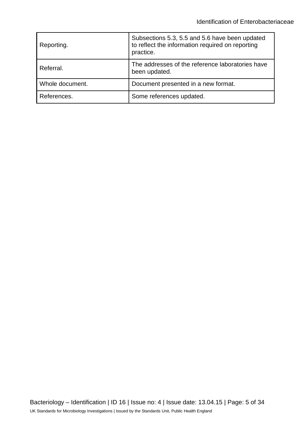| Reporting.      | Subsections 5.3, 5.5 and 5.6 have been updated<br>to reflect the information required on reporting<br>practice. |
|-----------------|-----------------------------------------------------------------------------------------------------------------|
| Referral.       | The addresses of the reference laboratories have<br>been updated.                                               |
| Whole document. | Document presented in a new format.                                                                             |
| References.     | Some references updated.                                                                                        |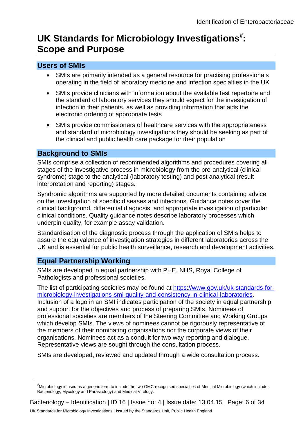## **UK Standards for Microbiology Investigations**[#](#page-0-0) **: Scope and Purpose**

### **Users of SMIs**

- SMIs are primarily intended as a general resource for practising professionals operating in the field of laboratory medicine and infection specialties in the UK
- SMIs provide clinicians with information about the available test repertoire and the standard of laboratory services they should expect for the investigation of infection in their patients, as well as providing information that aids the electronic ordering of appropriate tests
- SMIs provide commissioners of healthcare services with the appropriateness and standard of microbiology investigations they should be seeking as part of the clinical and public health care package for their population

### **Background to SMIs**

SMIs comprise a collection of recommended algorithms and procedures covering all stages of the investigative process in microbiology from the pre-analytical (clinical syndrome) stage to the analytical (laboratory testing) and post analytical (result interpretation and reporting) stages.

Syndromic algorithms are supported by more detailed documents containing advice on the investigation of specific diseases and infections. Guidance notes cover the clinical background, differential diagnosis, and appropriate investigation of particular clinical conditions. Quality guidance notes describe laboratory processes which underpin quality, for example assay validation.

Standardisation of the diagnostic process through the application of SMIs helps to assure the equivalence of investigation strategies in different laboratories across the UK and is essential for public health surveillance, research and development activities.

## **Equal Partnership Working**

 $\overline{a}$ 

SMIs are developed in equal partnership with PHE, NHS, Royal College of Pathologists and professional societies.

The list of participating societies may be found at [https://www.gov.uk/uk-standards-for](https://www.gov.uk/uk-standards-for-microbiology-investigations-smi-quality-and-consistency-in-clinical-laboratories)[microbiology-investigations-smi-quality-and-consistency-in-clinical-laboratories.](https://www.gov.uk/uk-standards-for-microbiology-investigations-smi-quality-and-consistency-in-clinical-laboratories) Inclusion of a logo in an SMI indicates participation of the society in equal partnership and support for the objectives and process of preparing SMIs. Nominees of professional societies are members of the Steering Committee and Working Groups which develop SMIs. The views of nominees cannot be rigorously representative of the members of their nominating organisations nor the corporate views of their organisations. Nominees act as a conduit for two way reporting and dialogue. Representative views are sought through the consultation process.

SMIs are developed, reviewed and updated through a wide consultation process.

<sup>#</sup> Microbiology is used as a generic term to include the two GMC-recognised specialties of Medical Microbiology (which includes Bacteriology, Mycology and Parasitology) and Medical Virology.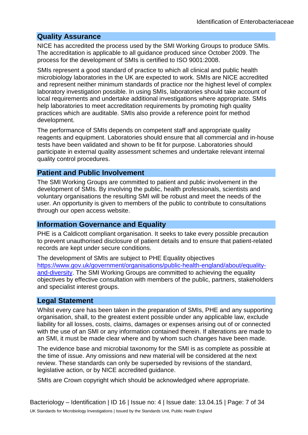#### **Quality Assurance**

NICE has accredited the process used by the SMI Working Groups to produce SMIs. The accreditation is applicable to all guidance produced since October 2009. The process for the development of SMIs is certified to ISO 9001:2008.

SMIs represent a good standard of practice to which all clinical and public health microbiology laboratories in the UK are expected to work. SMIs are NICE accredited and represent neither minimum standards of practice nor the highest level of complex laboratory investigation possible. In using SMIs, laboratories should take account of local requirements and undertake additional investigations where appropriate. SMIs help laboratories to meet accreditation requirements by promoting high quality practices which are auditable. SMIs also provide a reference point for method development.

The performance of SMIs depends on competent staff and appropriate quality reagents and equipment. Laboratories should ensure that all commercial and in-house tests have been validated and shown to be fit for purpose. Laboratories should participate in external quality assessment schemes and undertake relevant internal quality control procedures.

### **Patient and Public Involvement**

The SMI Working Groups are committed to patient and public involvement in the development of SMIs. By involving the public, health professionals, scientists and voluntary organisations the resulting SMI will be robust and meet the needs of the user. An opportunity is given to members of the public to contribute to consultations through our open access website.

#### **Information Governance and Equality**

PHE is a Caldicott compliant organisation. It seeks to take every possible precaution to prevent unauthorised disclosure of patient details and to ensure that patient-related records are kept under secure conditions.

The development of SMIs are subject to PHE Equality objectives [https://www.gov.uk/government/organisations/public-health-england/about/equality](https://www.gov.uk/government/organisations/public-health-england/about/equality-and-diversity)[and-diversity.](https://www.gov.uk/government/organisations/public-health-england/about/equality-and-diversity) The SMI Working Groups are committed to achieving the equality objectives by effective consultation with members of the public, partners, stakeholders and specialist interest groups.

#### **Legal Statement**

Whilst every care has been taken in the preparation of SMIs, PHE and any supporting organisation, shall, to the greatest extent possible under any applicable law, exclude liability for all losses, costs, claims, damages or expenses arising out of or connected with the use of an SMI or any information contained therein. If alterations are made to an SMI, it must be made clear where and by whom such changes have been made.

The evidence base and microbial taxonomy for the SMI is as complete as possible at the time of issue. Any omissions and new material will be considered at the next review. These standards can only be superseded by revisions of the standard, legislative action, or by NICE accredited guidance.

SMIs are Crown copyright which should be acknowledged where appropriate.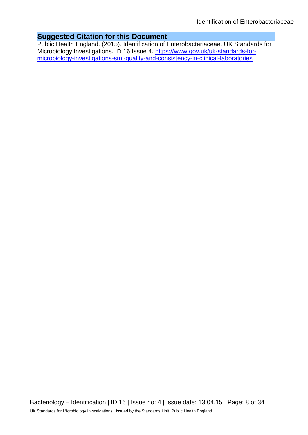### **Suggested Citation for this Document**

Public Health England. (2015). Identification of Enterobacteriaceae. UK Standards for Microbiology Investigations. ID 16 Issue 4. [https://www.gov.uk/uk-standards-for](https://www.gov.uk/uk-standards-for-microbiology-investigations-smi-quality-and-consistency-in-clinical-laboratories)[microbiology-investigations-smi-quality-and-consistency-in-clinical-laboratories](https://www.gov.uk/uk-standards-for-microbiology-investigations-smi-quality-and-consistency-in-clinical-laboratories)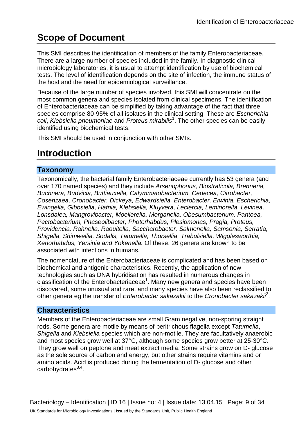## **Scope of Document**

This SMI describes the identification of members of the family Enterobacteriaceae. There are a large number of species included in the family. In diagnostic clinical microbiology laboratories, it is usual to attempt identification by use of biochemical tests. The level of identification depends on the site of infection, the immune status of the host and the need for epidemiological surveillance.

Because of the large number of species involved, this SMI will concentrate on the most common genera and species isolated from clinical specimens. The identification of Enterobacteriaceae can be simplified by taking advantage of the fact that three species comprise 80-95% of all isolates in the clinical setting. These are *Escherichia coli*, *Klebsiella pneumoniae* and *Proteus mirabilis*<sup>1</sup> . The other species can be easily identified using biochemical tests.

This SMI should be used in conjunction with other SMIs.

## **Introduction**

### **Taxonomy**

Taxonomically, the bacterial family Enterobacteriaceae currently has 53 genera (and over 170 named species) and they include *Arsenophonus, Biostraticola, Brenneria, Buchnera, Budvicia, Buttiauxella, Calymmatobacterium, Cedecea, Citrobacter, Cosenzaea, Cronobacter, Dickeya, Edwardsiella, Enterobacter, Erwinia, Escherichia, Ewingella, Gibbsiella, Hafnia, Klebsiella, Kluyvera, Leclercia, Leminorella, Levinea, Lonsdalea, Mangrovibacter, Moellerella, Morganella, Obesumbacterium, Pantoea, Pectobacterium, Phaseolibacter, Photorhabdus, Plesiomonas, Pragia, Proteus, Providencia, Rahnella, Raoultella, Saccharobacter, Salmonella, Samsonia, Serratia, Shigella, Shimwellia, Sodalis, Tatumella, Thorsellia, Trabulsiella, Wigglesworthia, Xenorhabdus, Yersinia and Yokenella.* Of these, 26 genera are known to be associated with infections in humans.

The nomenclature of the Enterobacteriaceae is complicated and has been based on biochemical and antigenic characteristics. Recently, the application of new technologies such as DNA hybridisation has resulted in numerous changes in classification of the Enterobacteriaceae<sup>1</sup>. Many new genera and species have been discovered, some unusual and rare, and many species have also been reclassified to other genera eg the transfer of *Enterobacter sakazakii* to the *Cronobacter sakazakii*<sup>2</sup> .

### **Characteristics**

Members of the Enterobacteriaceae are small Gram negative, non-sporing straight rods. Some genera are motile by means of peritrichous flagella except *Tatumella*, *Shigella* and *Klebsiella* species which are non-motile. They are facultatively anaerobic and most species grow well at 37°C, although some species grow better at 25-30°C. They grow well on peptone and meat extract media. Some strains grow on D- glucose as the sole source of carbon and energy, but other strains require vitamins and or amino acids. Acid is produced during the fermentation of D- glucose and other carbohydrates $3,4$ .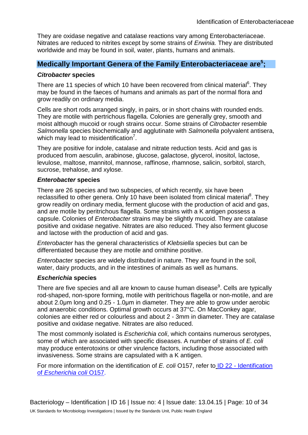They are oxidase negative and catalase reactions vary among Enterobacteriaceae. Nitrates are reduced to nitrites except by some strains of *Erwinia.* They are distributed worldwide and may be found in soil, water, plants, humans and animals.

## **Medically Important Genera of the Family Enterobacteriaceae are<sup>5</sup>;**

#### *Citrobacter* **species**

There are 11 species of which 10 have been recovered from clinical material<sup>6</sup>. They may be found in the faeces of humans and animals as part of the normal flora and grow readily on ordinary media.

Cells are short rods arranged singly, in pairs, or in short chains with rounded ends. They are motile with pertrichous flagella. Colonies are generally grey, smooth and moist although mucoid or rough strains occur. Some strains of *Citrobacter* resemble *Salmonella* species biochemically and agglutinate with *Salmonella* polyvalent antisera, which may lead to misidentification $7$ .

They are positive for indole, catalase and nitrate reduction tests. Acid and gas is produced from aesculin, arabinose, glucose, galactose, glycerol, inositol, lactose, levulose, maltose, mannitol, mannose, raffinose, rhamnose, salicin, sorbitol, starch, sucrose, trehalose, and xylose.

#### *Enterobacter* **species**

There are 26 species and two subspecies, of which recently, six have been reclassified to other genera. Only 10 have been isolated from clinical material<sup>8</sup>. They grow readily on ordinary media, ferment glucose with the production of acid and gas, and are motile by peritrichous flagella. Some strains with a K antigen possess a capsule. Colonies of *Enterobacter* strains may be slightly mucoid. They are catalase positive and oxidase negative. Nitrates are also reduced. They also ferment glucose and lactose with the production of acid and gas.

*Enterobacter* has the general characteristics of *Klebsiella* species but can be differentiated because they are motile and ornithine positive.

*Enterobacter* species are widely distributed in nature. They are found in the soil, water, dairy products, and in the intestines of animals as well as humans.

#### *Escherichia* **species**

There are five species and all are known to cause human disease<sup>9</sup>. Cells are typically rod-shaped, non-spore forming, motile with peritrichous flagella or non-motile, and are about 2.0μm long and 0.25 - 1.0μm in diameter. They are able to grow under aerobic and anaerobic conditions. Optimal growth occurs at 37°C. On MacConkey agar, colonies are either red or colourless and about 2 - 3mm in diameter. They are catalase positive and oxidase negative. Nitrates are also reduced.

The most commonly isolated is *Escherichia coli*, which contains numerous serotypes, some of which are associated with specific diseases. A number of strains of *E. coli* may produce enterotoxins or other virulence factors, including those associated with invasiveness. Some strains are capsulated with a K antigen.

For more information on the identification of *E. coli* O157, refer to ID 22 - [Identification](https://www.gov.uk/government/collections/standards-for-microbiology-investigations-smi#identification)  of *[Escherichia coli](https://www.gov.uk/government/collections/standards-for-microbiology-investigations-smi#identification)* O157.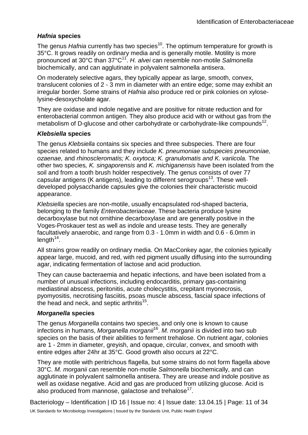#### *Hafnia* **species**

The genus *Hafnia* currently has two species<sup>10</sup>. The optimum temperature for growth is 35°C. It grows readily on ordinary media and is generally motile. Motility is more pronounced at 30°C than 37°C11. *H. alvei* can resemble non-motile *Salmonella* biochemically, and can agglutinate in polyvalent salmonella antisera.

On moderately selective agars, they typically appear as large, smooth, convex, translucent colonies of 2 - 3 mm in diameter with an entire edge; some may exhibit an irregular border. Some strains of *Hafnia* also produce red or pink colonies on xyloselysine-desoxycholate agar.

They are oxidase and indole negative and are positive for nitrate reduction and for enterobacterial common antigen. They also produce acid with or without gas from the metabolism of D-glucose and other carbohydrate or carbohydrate-like compounds<sup>12</sup>.

#### *Klebsiella* **species**

The genus *Klebsiella* contains six species and three subspecies. There are four species related to humans and they include *K. pneumoniae subspecies pneumoniae, ozaenae,* and *rhinoscleromatis; K. oxytoca; K. granulomatis and K. variicola.* The other two species*, K. singaporensis* and *K. michiganensis* have been isolated from the soil and from a tooth brush holder respectively. The genus consists of over 77 capsular antigens (K antigens), leading to different serogroups<sup>13</sup>. These welldeveloped polysaccharide capsules give the colonies their characteristic mucoid appearance.

*Klebsiella* species are non-motile, usually encapsulated rod-shaped bacteria, belonging to the family *Enterobacteriaceae*. These bacteria produce lysine decarboxylase but not ornithine decarboxylase and are generally positive in the Voges-Proskauer test as well as indole and urease tests. They are generally facultatively anaerobic, and range from 0.3 - 1.0mm in width and 0.6 - 6.0mm in  $length<sup>14</sup>$ .

All strains grow readily on ordinary media. On MacConkey agar, the colonies typically appear large, mucoid, and red, with red pigment usually diffusing into the surrounding agar, indicating fermentation of lactose and acid production.

They can cause bacteraemia and hepatic infections, and have been isolated from a number of unusual infections, including endocarditis, primary gas-containing mediastinal abscess, peritonitis, acute cholecystitis, crepitant myonecrosis, pyomyositis, necrotising fasciitis, psoas muscle abscess, fascial space infections of the head and neck, and septic arthritis<sup>15</sup>.

#### *Morganella* **species**

The genus *Morganella* contains two species, and only one is known to cause infections in humans, *Morganella morganii*16. *M. morganii* is divided into two sub species on the basis of their abilities to ferment trehalose. On nutrient agar, colonies are 1 - 2mm in diameter, greyish, and opaque, circular, convex, and smooth with entire edges after 24hr at 35°C. Good growth also occurs at 22°C.

They are motile with peritrichous flagella, but some strains do not form flagella above 30°C. *M. morganii* can resemble non-motile *Salmonella* biochemically, and can agglutinate in polyvalent salmonella antisera. They are urease and indole positive as well as oxidase negative. Acid and gas are produced from utilizing glucose. Acid is also produced from mannose, galactose and trehalose $^{17}$ .

Bacteriology – Identification | ID 16 | Issue no: 4 | Issue date: 13.04.15 | Page: 11 of 34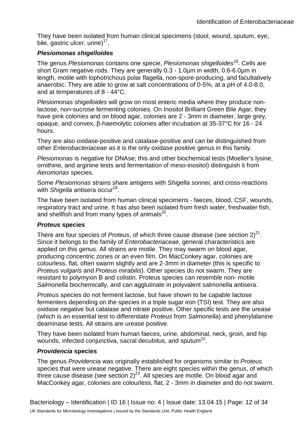They have been isolated from human clinical specimens (stool, wound, sputum, eye, bile, gastric ulcer, urine) $17$ .

#### *Plesiomonas shigelloides*

The genus *Plesiomonas* contains one specie, *Plesiomonas shigelloides*18. Cells are short Gram negative rods. They are generally 0.3 - 1.0µm in width, 0.6-6.0µm in length, motile with lophotrichous polar flagella, non-spore-producing, and facultatively anaerobic. They are able to grow at salt concentrations of 0-5%, at a pH of 4.0-8.0, and at temperatures of 8 - 44°C.

*Plesiomonas shigelloides* will grow on most enteric media where they produce nonlactose, non-sucrose fermenting colonies. On Inositol Brilliant Green Bile Agar, they have pink colonies and on blood agar, colonies are 2 - 3mm in diameter, large grey, opaque, and convex, β-haemolytic colonies after incubation at 35-37°C for 16 - 24 hours.

They are also oxidase-positive and catalase-positive and can be distinguished from other *Enterobacteriaceae* as it is the only oxidase positive genus in this family.

*Plesiomonas* is negative for DNAse; this and other biochemical tests (Moeller's lysine, ornithine, and arginine tests and fermentation of meso-inositol) distinguish it from *Aeromonas* species.

Some *Plesiomonas* strains share antigens with *Shigella sonnei*, and cross-reactions with *Shigella* antisera occur<sup>19</sup>.

The have been isolated from human clinical specimens - faeces, blood, CSF, wounds, respiratory tract and urine. It has also been isolated from fresh water, freshwater fish, and shellfish and from many types of animals $^{20}$ .

#### *Proteus* **species**

There are four species of *Proteus*, of which three cause disease (see section 2)<sup>21</sup>. Since it belongs to the family of *Enterobacteriaceae*, general characteristics are applied on this genus. All strains are motile. They may swarm on blood agar, producing concentric zones or an even film. On MacConkey agar, colonies are colourless, flat, often swarm slightly and are 2-3mm in diameter (this is specific to *Proteus vulgaris* and *Proteus mirabilis*). Other species do not swarm. They are resistant to polymyxin B and colistin. Proteus species can resemble non- motile *Salmonella* biochemically, and can agglutinate in polyvalent salmonella antisera.

*Proteus* species do not ferment lactose, but have shown to be capable lactose fermenters depending on the species in a triple sugar iron (TSI) test. They are also oxidase negative but catalase and nitrate positive. Other specific tests are the urease (which is an essential test to differentiate *Proteus* from *Salmonella*) and phenylalanine deaminase tests. All strains are urease positive.

They have been isolated from human faeces, urine, abdominal, neck, groin, and hip wounds, infected conjunctiva, sacral decubitus, and sputum<sup>22</sup>.

#### *Providencia* **species**

The genus *Providencia* was originally established for organisms similar to *Proteus*  species that were urease negative. There are eight species within the genus, of which three cause disease (see section  $2^{23}$ . All species are motile. On blood agar and MacConkey agar, colonies are colourless, flat, 2 - 3mm in diameter and do not swarm.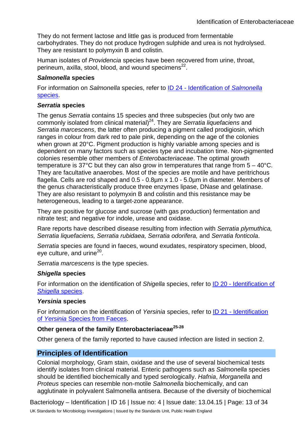They do not ferment lactose and little gas is produced from fermentable carbohydrates. They do not produce hydrogen sulphide and urea is not hydrolysed. They are resistant to polymyxin B and colistin.

Human isolates of *Providencia* species have been recovered from urine, throat, perineum, axilla, stool, blood, and wound specimens $^{22}$ .

#### *Salmonella* **species**

For information on *Salmonella* species, refer to ID 24 - [Identification of](https://www.gov.uk/government/collections/standards-for-microbiology-investigations-smi#identification) *Salmonella*  [species.](https://www.gov.uk/government/collections/standards-for-microbiology-investigations-smi#identification)

#### *Serratia* **species**

The genus *Serratia* contains 15 species and three subspecies (but only two are commonly isolated from clinical material)24. They are *Serratia liquefaciens* and *Serratia marcescens*, the latter often producing a pigment called prodigiosin, which ranges in colour from dark red to pale pink, depending on the age of the colonies when grown at 20°C. Pigment production is highly variable among species and is dependent on many factors such as species type and incubation time. Non-pigmented colonies resemble other members of *Enterobacteriaceae*. The optimal growth temperature is 37°C but they can also grow in temperatures that range from 5 – 40°C. They are facultative anaerobes. Most of the species are motile and have peritrichous flagella. Cells are rod shaped and 0.5 - 0.8µm x 1.0 - 5.0µm in diameter. Members of the genus characteristically produce three enzymes lipase, DNase and gelatinase. They are also resistant to polymyxin B and colistin and this resistance may be heterogeneous, leading to a target-zone appearance.

They are positive for glucose and sucrose (with gas production) fermentation and nitrate test; and negative for indole, urease and oxidase.

Rare reports have described disease resulting from infection with *Serratia plymuthica, Serratia liquefaciens, Serratia rubidaea, Serratia odorifera,* and *Serratia fonticola*.

*Serratia* species are found in faeces, wound exudates, respiratory specimen, blood, eye culture, and urine<sup>20</sup>.

*Serratia marcescens* is the type species.

#### *Shigella* **species**

For information on the identification of *Shigella* species, refer to ID 20 - [Identification of](https://www.gov.uk/government/collections/standards-for-microbiology-investigations-smi#identification)  *[Shigella](https://www.gov.uk/government/collections/standards-for-microbiology-investigations-smi#identification)* species.

#### *Yersinia* **species**

For information on the identification of *Yersinia* species, refer to ID 21 - [Identification](https://www.gov.uk/government/collections/standards-for-microbiology-investigations-smi#identification)  of *Yersinia* [Species from Faeces.](https://www.gov.uk/government/collections/standards-for-microbiology-investigations-smi#identification)

#### **Other genera of the family Enterobacteriaceae25-28**

Other genera of the family reported to have caused infection are listed in section 2.

## **Principles of Identification**

Colonial morphology, Gram stain, oxidase and the use of several biochemical tests identify isolates from clinical material. Enteric pathogens such as *Salmonella* species should be identified biochemically and typed serologically. *Hafnia*, *Morganella* and *Proteus* species can resemble non-motile *Salmonella* biochemically, and can agglutinate in polyvalent Salmonella antisera. Because of the diversity of biochemical

Bacteriology – Identification | ID 16 | Issue no: 4 | Issue date: 13.04.15 | Page: 13 of 34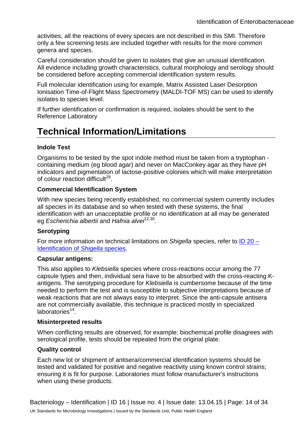activities, all the reactions of every species are not described in this SMI. Therefore only a few screening tests are included together with results for the more common genera and species.

Careful consideration should be given to isolates that give an unusual identification. All evidence including growth characteristics, cultural morphology and serology should be considered before accepting commercial identification system results.

Full molecular identification using for example, Matrix Assisted Laser Desorption Ionisation Time-of-Flight Mass Spectrometry (MALDI-TOF MS) can be used to identify isolates to species level.

If further identification or confirmation is required, isolates should be sent to the Reference Laboratory

## **Technical Information/Limitations**

#### **Indole Test**

Organisms to be tested by the spot indole method must be taken from a tryptophan containing medium (eg blood agar) and never on MacConkey agar as they have pH indicators and pigmentation of lactose-positive colonies which will make interpretation of colour reaction difficult $^{29}$ .

#### **Commercial Identification System**

With new species being recently established, no commercial system currently includes all species in its database and so when tested with these systems, the final identification with an unacceptable profile or no identification at all may be generated eg *Escherichia albertii* and *Hafnia alvei*12,30.

#### **Serotyping**

For more information on technical limitations on *Shigella* species, refer to [ID 20 –](https://www.gov.uk/government/collections/standards-for-microbiology-investigations-smi#identification) [Identification of](https://www.gov.uk/government/collections/standards-for-microbiology-investigations-smi#identification) *Shigella* species.

#### **Capsular antigens:**

This also applies to *Klebsiella* species where cross-reactions occur among the 77 capsule types and then, individual sera have to be absorbed with the cross-reacting Kantigens. The serotyping procedure for *Klebsiella* is cumbersome because of the time needed to perform the test and is susceptible to subjective interpretations because of weak reactions that are not always easy to interpret. Since the anti-capsule antisera are not commercially available, this technique is practiced mostly in specialized  $laboratories<sup>14</sup>$ .

#### **Misinterpreted results**

When conflicting results are observed, for example; biochemical profile disagrees with serological profile, tests should be repeated from the original plate.

#### **Quality control**

Each new lot or shipment of antisera/commercial identification systems should be tested and validated for positive and negative reactivity using known control strains; ensuring it is fit for purpose. Laboratories must follow manufacturer's instructions when using these products.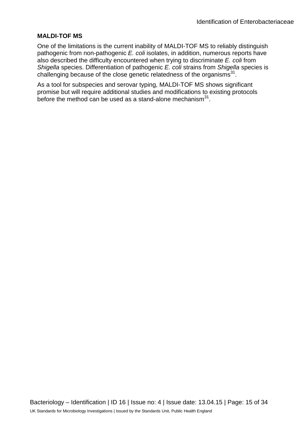#### **MALDI-TOF MS**

One of the limitations is the current inability of MALDI-TOF MS to reliably distinguish pathogenic from non-pathogenic *E. coli* isolates, in addition, numerous reports have also described the difficulty encountered when trying to discriminate *E. coli* from *Shigella* species. Differentiation of pathogenic *E. coli* strains from *Shigella* species is challenging because of the close genetic relatedness of the organisms $^{31}$ .

As a tool for subspecies and serovar typing, MALDI-TOF MS shows significant promise but will require additional studies and modifications to existing protocols before the method can be used as a stand-alone mechanism $31$ .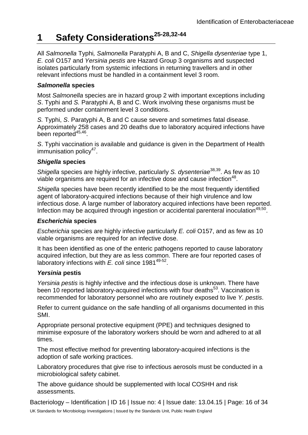## **1 Safety Considerations25-28,32-44**

All *Salmonella* Typhi*, Salmonella* Paratyphi A, B and C, *Shigella dysenteriae* type 1, *E. coli* O157 and *Yersinia pestis* are Hazard Group 3 organisms and suspected isolates particularly from systemic infections in returning travellers and in other relevant infections must be handled in a containment level 3 room.

#### *Salmonella* **species**

Most *Salmonella* species are in hazard group 2 with important exceptions including *S*. Typhi and *S.* Paratyphi A, B and C. Work involving these organisms must be performed under containment level 3 conditions.

*S.* Typhi, *S*. Paratyphi A, B and C cause severe and sometimes fatal disease. Approximately 258 cases and 20 deaths due to laboratory acquired infections have been reported $45,46$ .

*S*. Typhi vaccination is available and guidance is given in the Department of Health immunisation polic $v^{47}$ .

#### *Shigella* **species**

*Shigella* species are highly infective, particularly *S. dysenteriae*<sup>38,39</sup>. As few as 10 viable organisms are required for an infective dose and cause infection<sup>48</sup>.

*Shigella* species have been recently identified to be the most frequently identified agent of laboratory-acquired infections because of their high virulence and low infectious dose. A large number of laboratory acquired infections have been reported. Infection may be acquired through ingestion or accidental parenteral inoculation<sup>49,50</sup>.

#### *Escherichia* **species**

*Escherichia* species are highly infective particularly *E. coli* O157, and as few as 10 viable organisms are required for an infective dose.

It has been identified as one of the enteric pathogens reported to cause laboratory acquired infection, but they are as less common. There are four reported cases of laboratory infections with *E. coli* since 1981<sup>49-52</sup>.

#### *Yersinia* **pestis**

*Yersinia pestis* is highly infective and the infectious dose is unknown. There have been 10 reported laboratory-acquired infections with four deaths<sup>53</sup>. Vaccination is recommended for laboratory personnel who are routinely exposed to live *Y. pestis*.

Refer to current guidance on the safe handling of all organisms documented in this SMI.

Appropriate personal protective equipment (PPE) and techniques designed to minimise exposure of the laboratory workers should be worn and adhered to at all times.

The most effective method for preventing laboratory-acquired infections is the adoption of safe working practices.

Laboratory procedures that give rise to infectious aerosols must be conducted in a microbiological safety cabinet.

The above guidance should be supplemented with local COSHH and risk assessments.

Bacteriology – Identification | ID 16 | Issue no: 4 | Issue date: 13.04.15 | Page: 16 of 34 UK Standards for Microbiology Investigations | Issued by the Standards Unit, Public Health England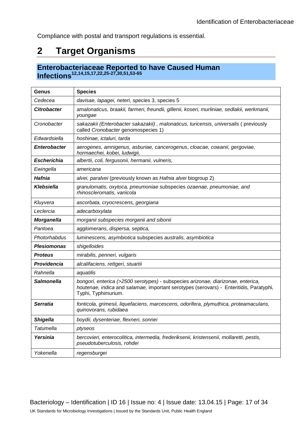Compliance with postal and transport regulations is essential.

## **2 Target Organisms**

## **Enterobacteriaceae Reported to have Caused Human Infections12,14,15,17,22,25-27,30,51,53-65**

| Genus               | <b>Species</b>                                                                                                                                                                                    |
|---------------------|---------------------------------------------------------------------------------------------------------------------------------------------------------------------------------------------------|
| Cedecea             | davisae, lapagei, neteri, species 3, species 5                                                                                                                                                    |
| <b>Citrobacter</b>  | amalonaticus, braakii, farmeri, freundii, gillenii, koseri, murliniae, sedlakii, werkmanii,<br>youngae                                                                                            |
| Cronobacter         | sakazakii (Enterobacter sakazakii), malonaticus, turicensis, universalis (previously<br>called Cronobacter genomospecies 1)                                                                       |
| Edwardsiella        | hoshinae, ictaluri, tarda                                                                                                                                                                         |
| <b>Enterobacter</b> | aerogenes, amnigenus, asburiae, cancerogenus, cloacae, cowanii, gergoviae,<br>hormaechei, kobei, ludwigii,                                                                                        |
| <b>Escherichia</b>  | albertii, coli, fergusonii, hermanii, vulneris,                                                                                                                                                   |
| Ewingella           | americana                                                                                                                                                                                         |
| Hafnia              | alvei, paralvei (previously known as Hafnia alvei biogroup 2)                                                                                                                                     |
| Klebsiella          | granulomatis, oxytoca, pneumoniae subspecies ozaenae, pneumoniae, and<br>rhinoscleromatis, variicola                                                                                              |
| Kluyvera            | ascorbata, cryocrescens, georgiana                                                                                                                                                                |
| Leclercia           | adecarboxylata                                                                                                                                                                                    |
| <b>Morganella</b>   | morganii subspecies morganii and sibonii                                                                                                                                                          |
| Pantoea             | agglomerans, dispersa, septica,                                                                                                                                                                   |
| Photorhabdus        | luminescens, asymbiotica subspecies australis, asymbiotica                                                                                                                                        |
| <b>Plesiomonas</b>  | shigelloides                                                                                                                                                                                      |
| <b>Proteus</b>      | mirabilis, penneri, vulgaris                                                                                                                                                                      |
| Providencia         | alcalifaciens, rettgeri, stuartii                                                                                                                                                                 |
| Rahnella            | aquatilis                                                                                                                                                                                         |
| <b>Salmonella</b>   | bongori, enterica (>2500 serotypes) - subspecies arizonae, diarizonae, enterica,<br>houtenae, indica and salamae, important serotypes (serovars) - Enteritidis, Paratyphi,<br>Typhi, Typhimurium. |
| <b>Serratia</b>     | fonticola, grimesii, liquefaciens, marcescens, odorifera, plymuthica, proteamaculans,<br>quinovorans, rubidaea                                                                                    |
| <b>Shigella</b>     | boydii, dysenteriae, flexneri, sonnei                                                                                                                                                             |
| <b>Tatumella</b>    | ptyseos                                                                                                                                                                                           |
| Yersinia            | bercovieri, enterocolitica, intermedia, frederiksenii, kristensenii, mollaretti, pestis,<br>pseudotuberculosis, rohdei                                                                            |
| Yokenella           | regensburgei                                                                                                                                                                                      |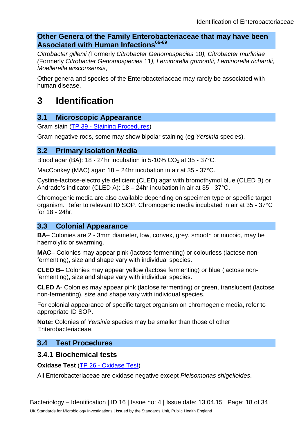### **Other Genera of the Family Enterobacteriaceae that may have been Associated with Human Infections66-69**

*Citrobacter gillenii (*Formerly *Citrobacter Genomospecies* 10*), Citrobacter murliniae (*Formerly *Citrobacter Genomospecies* 11*), Leminorella grimontii, Leminorella richardii, Moellerella wisconsensis*,

Other genera and species of the Enterobacteriaceae may rarely be associated with human disease.

## **3 Identification**

### **3.1 Microscopic Appearance**

Gram stain (TP 39 - [Staining Procedures\)](https://www.gov.uk/government/collections/standards-for-microbiology-investigations-smi#test-procedures)

Gram negative rods, some may show bipolar staining (eg *Yersinia* species).

#### **3.2 Primary Isolation Media**

Blood agar (BA): 18 - 24hr incubation in 5-10%  $CO<sub>2</sub>$  at 35 - 37°C.

MacConkey (MAC) agar: 18 – 24hr incubation in air at 35 - 37°C.

Cystine-lactose-electrolyte deficient (CLED) agar with bromothymol blue (CLED B) or Andrade's indicator (CLED A): 18 – 24hr incubation in air at 35 - 37°C.

Chromogenic media are also available depending on specimen type or specific target organism. Refer to relevant ID SOP. Chromogenic media incubated in air at 35 - 37°C for 18 - 24hr.

### **3.3 Colonial Appearance**

**BA**– Colonies are 2 - 3mm diameter, low, convex, grey, smooth or mucoid, may be haemolytic or swarming.

**MAC**– Colonies may appear pink (lactose fermenting) or colourless (lactose nonfermenting), size and shape vary with individual species.

**CLED B**– Colonies may appear yellow (lactose fermenting) or blue (lactose nonfermenting), size and shape vary with individual species.

**CLED A**- Colonies may appear pink (lactose fermenting) or green, translucent (lactose non-fermenting), size and shape vary with individual species.

For colonial appearance of specific target organism on chromogenic media, refer to appropriate ID SOP.

**Note:** Colonies of *Yersinia* species may be smaller than those of other Enterobacteriaceae.

### **3.4 Test Procedures**

### **3.4.1 Biochemical tests**

**Oxidase Test** (TP 26 - [Oxidase Test\)](https://www.gov.uk/government/collections/standards-for-microbiology-investigations-smi#test-procedures)

All Enterobacteriaceae are oxidase negative except *Pleisomonas shigelloides*.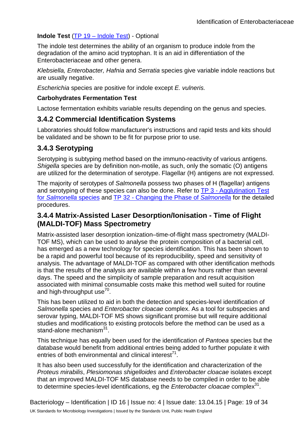#### **Indole Test** (TP 19 – [Indole Test\)](https://www.gov.uk/government/collections/standards-for-microbiology-investigations-smi#test-procedures) - Optional

The indole test determines the ability of an organism to produce indole from the degradation of the amino acid tryptophan. It is an aid in differentiation of the Enterobacteriaceae and other genera.

*Klebsiella, Enterobacter, Hafnia* and *Serratia* species give variable indole reactions but are usually negative.

*Escherichia* species are positive for indole except *E. vulneris.*

#### **Carbohydrates Fermentation Test**

Lactose fermentation exhibits variable results depending on the genus and species.

### **3.4.2 Commercial Identification Systems**

Laboratories should follow manufacturer's instructions and rapid tests and kits should be validated and be shown to be fit for purpose prior to use.

### **3.4.3 Serotyping**

Serotyping is subtyping method based on the immuno-reactivity of various antigens. *Shigella* species are by definition non-motile, as such, only the somatic (O) antigens are utilized for the determination of serotype. Flagellar (H) antigens are not expressed.

The majority of serotypes of *Salmonella* possess two phases of H (flagellar) antigens and serotyping of these species can also be done. Refer to TP 3 - [Agglutination Test](https://www.gov.uk/government/collections/standards-for-microbiology-investigations-smi#test-procedures)  for *[Salmonella](https://www.gov.uk/government/collections/standards-for-microbiology-investigations-smi#test-procedures)* species and TP 32 - [Changing the Phase of](https://www.gov.uk/government/collections/standards-for-microbiology-investigations-smi#test-procedures) *Salmonella* for the detailed procedures.

## **3.4.4 Matrix-Assisted Laser Desorption/Ionisation - Time of Flight (MALDI-TOF) Mass Spectrometry**

Matrix-assisted laser desorption ionization–time-of-flight mass spectrometry (MALDI-TOF MS), which can be used to analyse the protein composition of a bacterial cell, has emerged as a new technology for species identification. This has been shown to be a rapid and powerful tool because of its reproducibility, speed and sensitivity of analysis. The advantage of MALDI-TOF as compared with other identification methods is that the results of the analysis are available within a few hours rather than several days. The speed and the simplicity of sample preparation and result acquisition associated with minimal consumable costs make this method well suited for routine and high-throughput use $70$ .

This has been utilized to aid in both the detection and species-level identification of *Salmonella* species and *Enterobacter cloacae* complex. As a tool for subspecies and serovar typing, MALDI-TOF MS shows significant promise but will require additional studies and modifications to existing protocols before the method can be used as a stand-alone mechanism<sup>31</sup>.

This technique has equally been used for the identification of *Pantoea* species but the database would benefit from additional entries being added to further populate it with entries of both environmental and clinical interest<sup>71</sup>.

It has also been used successfully for the identification and characterization of the *Proteus mirabilis*, *Plesiomonas shigelloides* and *Enterobacter cloacae* isolates except that an improved MALDI-TOF MS database needs to be compiled in order to be able to determine species-level identifications, eg the *Enterobacter cloacae* complex<sup>31</sup>.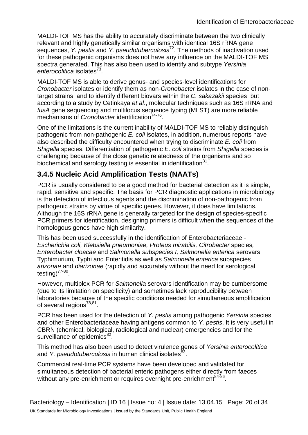MALDI-TOF MS has the ability to accurately discriminate between the two clinically relevant and highly genetically similar organisms with identical 16S rRNA gene sequences, *Y. pestis* and *Y. pseudotuberculosis*72. The methods of inactivation used for these pathogenic organisms does not have any influence on the MALDI-TOF MS spectra generated. This has also been used to identify and subtype *Yersinia enterocolitica* isolates73.

MALDI-TOF MS is able to derive genus- and species-level identifications for *Cronobacter* isolates or identify them as non-*Cronobacter* isolates in the case of nontarget strains and to identify different biovars within the *C. sakazakii* species but according to a study by Cetinkaya *et al*., molecular techniques such as 16S rRNA and *fusA* gene sequencing and multilocus sequence typing (MLST) are more reliable mechanisms of *Cronobacter* identification<sup>74-76</sup>.

One of the limitations is the current inability of MALDI-TOF MS to reliably distinguish pathogenic from non-pathogenic *E. coli* isolates, in addition, numerous reports have also described the difficulty encountered when trying to discriminate *E. coli* from *Shigella* species. Differentiation of pathogenic *E. coli* strains from *Shigella* species is challenging because of the close genetic relatedness of the organisms and so biochemical and serology testing is essential in identification<sup>31</sup>.

## **3.4.5 Nucleic Acid Amplification Tests (NAATs)**

PCR is usually considered to be a good method for bacterial detection as it is simple, rapid, sensitive and specific. The basis for PCR diagnostic applications in microbiology is the detection of infectious agents and the discrimination of non-pathogenic from pathogenic strains by virtue of specific genes. However, it does have limitations. Although the 16S rRNA gene is generally targeted for the design of species-specific PCR primers for identification, designing primers is difficult when the sequences of the homologous genes have high similarity.

This has been used successfully in the identification of Enterobacteriaceae *- Escherichia coli, Klebsiella pneumoniae, Proteus mirabilis, Citrobacter* species*, Enterobacter cloacae* and *Salmonella subspecies I, Salmonella enterica* serovars Typhimurium*,* Typhi and Enteritidis as well as *Salmonella enterica* subspecies *arizonae* and *diarizonae* (rapidly and accurately without the need for serological testing $^{77-80}$ .

However, multiplex PCR for *Salmonella* serovars identification may be cumbersome (due to its limitation on specificity) and sometimes lack reproducibility between laboratories because of the specific conditions needed for simultaneous amplification of several regions<sup>78,81</sup>.

PCR has been used for the detection of *Y. pestis* among pathogenic *Yersinia* species and other Enterobacteriaceae having antigens common to *Y. pestis*. It is very useful in CBRN (chemical, biological, radiological and nuclear) emergencies and for the surveillance of epidemics<sup>82</sup>.

This method has also been used to detect virulence genes of *Yersinia enterocolitica* and *Y. pseudotuberculosis* in human clinical isolates<sup>83</sup>.

Commercial real-time PCR systems have been developed and validated for simultaneous detection of bacterial enteric pathogens either directly from faeces without any pre-enrichment or requires overnight pre-enrichment<sup>84-86</sup>.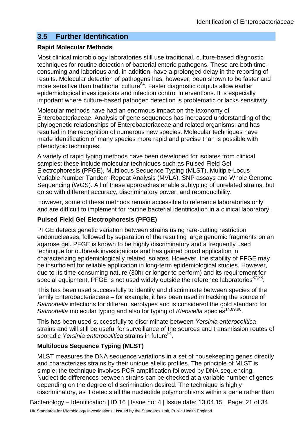### **3.5 Further Identification**

#### **Rapid Molecular Methods**

Most clinical microbiology laboratories still use traditional, culture-based diagnostic techniques for routine detection of bacterial enteric pathogens. These are both timeconsuming and laborious and, in addition, have a prolonged delay in the reporting of results. Molecular detection of pathogens has, however, been shown to be faster and more sensitive than traditional culture<sup>84</sup>. Faster diagnostic outputs allow earlier epidemiological investigations and infection control interventions. It is especially important where culture-based pathogen detection is problematic or lacks sensitivity.

Molecular methods have had an enormous impact on the taxonomy of Enterobacteriaceae. Analysis of gene sequences has increased understanding of the phylogenetic relationships of Enterobacteriaceae and related organisms; and has resulted in the recognition of numerous new species. Molecular techniques have made identification of many species more rapid and precise than is possible with phenotypic techniques.

A variety of rapid typing methods have been developed for isolates from clinical samples; these include molecular techniques such as Pulsed Field Gel Electrophoresis (PFGE), Multilocus Sequence Typing (MLST), Multiple-Locus Variable-Number Tandem-Repeat Analysis (MVLA), SNP assays and Whole Genome Sequencing (WGS). All of these approaches enable subtyping of unrelated strains, but do so with different accuracy, discriminatory power, and reproducibility.

However, some of these methods remain accessible to reference laboratories only and are difficult to implement for routine bacterial identification in a clinical laboratory.

#### **Pulsed Field Gel Electrophoresis (PFGE)**

PFGE detects genetic variation between strains using rare-cutting restriction endonucleases, followed by separation of the resulting large genomic fragments on an agarose gel. PFGE is known to be highly discriminatory and a frequently used technique for outbreak investigations and has gained broad application in characterizing epidemiologically related isolates. However, the stability of PFGE may be insufficient for reliable application in long-term epidemiological studies. However, due to its time-consuming nature (30hr or longer to perform) and its requirement for special equipment, PFGE is not used widely outside the reference laboratories $87,88$ .

This has been used successfully to identify and discriminate between species of the family Enterobacteriaceae – for example, it has been used in tracking the source of *Salmonella* infections for different serotypes and is considered the gold standard for *Salmonella* molecular typing and also for typing of *Klebsiella* species<sup>14,89,90</sup>.

This has been used successfully to discriminate between *Yersinia enterocolitica* strains and will still be useful for surveillance of the sources and transmission routes of sporadic *Yersinia enterocolitica* strains in future<sup>91</sup>.

#### **Multilocus Sequence Typing (MLST)**

MLST measures the DNA sequence variations in a set of housekeeping genes directly and characterizes strains by their unique allelic profiles. The principle of MLST is simple: the technique involves PCR amplification followed by DNA sequencing. Nucleotide differences between strains can be checked at a variable number of genes depending on the degree of discrimination desired. The technique is highly discriminatory, as it detects all the nucleotide polymorphisms within a gene rather than

Bacteriology – Identification | ID 16 | Issue no: 4 | Issue date: 13.04.15 | Page: 21 of 34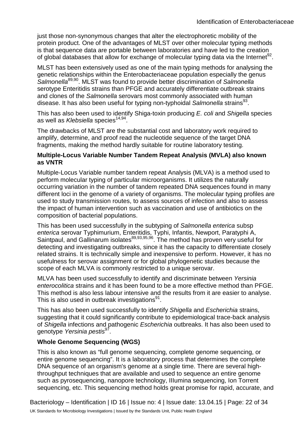just those non-synonymous changes that alter the electrophoretic mobility of the protein product. One of the advantages of MLST over other molecular typing methods is that sequence data are portable between laboratories and have led to the creation of global databases that allow for exchange of molecular typing data via the Internet<sup>92</sup>.

MLST has been extensively used as one of the main typing methods for analysing the genetic relationships within the Enterobacteriaceae population especially the genus *Salmonella*89,90. MLST was found to provide better discrimination of *Salmonella* serotype Enteritidis strains than PFGE and accurately differentiate outbreak strains and clones of the *Salmonella* serovars most commonly associated with human disease. It has also been useful for typing non-typhoidal *Salmonella* strains<sup>93</sup>.

This has also been used to identify Shiga-toxin producing *E. coli* and *Shigella* species as well as *Klebsiella* species<sup>14,94</sup>.

The drawbacks of MLST are the substantial cost and laboratory work required to amplify, determine, and proof read the nucleotide sequence of the target DNA fragments, making the method hardly suitable for routine laboratory testing.

#### **Multiple-Locus Variable Number Tandem Repeat Analysis (MVLA) also known as VNTR**

Multiple-Locus Variable number tandem repeat Analysis (MLVA) is a method used to perform molecular typing of particular microorganisms. It utilizes the naturally occurring variation in the number of tandem repeated DNA sequences found in many different loci in the genome of a variety of organisms. The molecular typing profiles are used to study transmission routes, to assess sources of infection and also to assess the impact of human intervention such as vaccination and use of antibiotics on the composition of bacterial populations.

This has been used successfully in the subtyping of *Salmonella enterica* subsp *enterica* serovar Typhimurium, Enteritidis, Typhi, Infantis, Newport, Paratyphi A, Saintpaul, and Gallinarum isolates<sup>89,93,95,96</sup>. The method has proven very useful for detecting and investigating outbreaks, since it has the capacity to differentiate closely related strains. It is technically simple and inexpensive to perform. However, it has no usefulness for serovar assignment or for global phylogenetic studies because the scope of each MLVA is commonly restricted to a unique serovar.

MLVA has been used successfully to identify and discriminate between *Yersinia enterocolitica* strains and it has been found to be a more effective method than PFGE. This method is also less labour intensive and the results from it are easier to analyse. This is also used in outbreak investigations $91$ .

This has also been used successfully to identify *Shigella* and *Escherichia* strains, suggesting that it could significantly contribute to epidemiological trace-back analysis of *Shigella* infections and pathogenic *Escherichia* outbreaks. It has also been used to genotype *Yersinia pestis*97.

#### **Whole Genome Sequencing (WGS)**

This is also known as "full genome sequencing, complete genome sequencing, or entire genome sequencing". It is a laboratory process that determines the complete DNA sequence of an organism's genome at a single time. There are several highthroughput techniques that are available and used to sequence an entire genome such as pyrosequencing, nanopore technology, IIIumina sequencing, Ion Torrent sequencing, etc. This sequencing method holds great promise for rapid, accurate, and

Bacteriology – Identification | ID 16 | Issue no: 4 | Issue date: 13.04.15 | Page: 22 of 34 UK Standards for Microbiology Investigations | Issued by the Standards Unit, Public Health England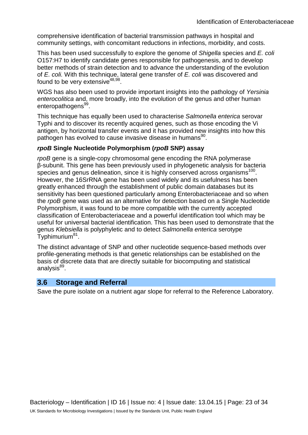comprehensive identification of bacterial transmission pathways in hospital and community settings, with concomitant reductions in infections, morbidity, and costs.

This has been used successfully to explore the genome of *Shigella* species and *E. coli* O157:H7 to identify candidate genes responsible for pathogenesis, and to develop better methods of strain detection and to advance the understanding of the evolution of *E. coli.* With this technique, lateral gene transfer of *E. coli* was discovered and found to be very extensive  $48,98$ .

WGS has also been used to provide important insights into the pathology of *Yersinia enterocolitica* and, more broadly, into the evolution of the genus and other human enteropathogens<sup>99</sup>.

This technique has equally been used to characterise *Salmonella enterica* serovar Typhi and to discover its recently acquired genes, such as those encoding the Vi antigen, by horizontal transfer events and it has provided new insights into how this pathogen has evolved to cause invasive disease in humans<sup>90</sup>.

#### *rpoB* **Single Nucleotide Polymorphism (***rpoB* **SNP) assay**

*rpoB* gene is a single-copy chromosomal gene encoding the RNA polymerase β-subunit. This gene has been previously used in phylogenetic analysis for bacteria species and genus delineation, since it is highly conserved across organisms<sup>100</sup>. However, the 16SrRNA gene has been used widely and its usefulness has been greatly enhanced through the establishment of public domain databases but its sensitivity has been questioned particularly among Enterobacteriaceae and so when the *rpoB* gene was used as an alternative for detection based on a Single Nucleotide Polymorphism, it was found to be more compatible with the currently accepted classification of Enterobacteriaceae and a powerful identification tool which may be useful for universal bacterial identification. This has been used to demonstrate that the genus *Klebsiella* is polyphyletic and to detect *Salmonella enterica* serotype Typhimurium81.

The distinct advantage of SNP and other nucleotide sequence-based methods over profile-generating methods is that genetic relationships can be established on the basis of discrete data that are directly suitable for biocomputing and statistical analysis<sup>89</sup>.

#### **3.6 Storage and Referral**

Save the pure isolate on a nutrient agar slope for referral to the Reference Laboratory.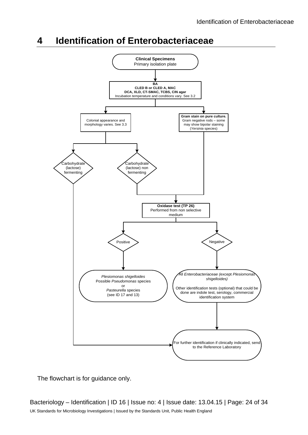## **4 Identification of Enterobacteriaceae**



The flowchart is for guidance only.

Bacteriology – Identification | ID 16 | Issue no: 4 | Issue date: 13.04.15 | Page: 24 of 34 UK Standards for Microbiology Investigations | Issued by the Standards Unit, Public Health England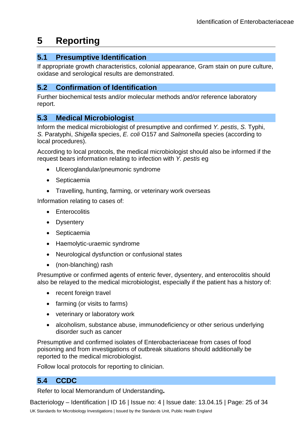## **5 Reporting**

## **5.1 Presumptive Identification**

If appropriate growth characteristics, colonial appearance, Gram stain on pure culture, oxidase and serological results are demonstrated.

### **5.2 Confirmation of Identification**

Further biochemical tests and/or molecular methods and/or reference laboratory report.

## **5.3 Medical Microbiologist**

Inform the medical microbiologist of presumptive and confirmed *Y. pestis*, *S.* Typhi, *S.* Paratyphi, *Shigella* species, *E. coli* O157 and *Salmonella* species (according to local procedures).

According to local protocols, the medical microbiologist should also be informed if the request bears information relating to infection with *Y. pestis* eg

- Ulceroglandular/pneumonic syndrome
- Septicaemia
- Travelling, hunting, farming, or veterinary work overseas

Information relating to cases of:

- Enterocolitis
- Dysentery
- Septicaemia
- Haemolytic-uraemic syndrome
- Neurological dysfunction or confusional states
- (non-blanching) rash

Presumptive or confirmed agents of enteric fever, dysentery, and enterocolitis should also be relayed to the medical microbiologist, especially if the patient has a history of:

- recent foreign travel
- farming (or visits to farms)
- veterinary or laboratory work
- alcoholism, substance abuse, immunodeficiency or other serious underlying disorder such as cancer

Presumptive and confirmed isolates of Enterobacteriaceae from cases of food poisoning and from investigations of outbreak situations should additionally be reported to the medical microbiologist.

Follow local protocols for reporting to clinician.

## **5.4 CCDC**

Refer to local Memorandum of Understanding**.**

Bacteriology – Identification | ID 16 | Issue no: 4 | Issue date: 13.04.15 | Page: 25 of 34 UK Standards for Microbiology Investigations | Issued by the Standards Unit, Public Health England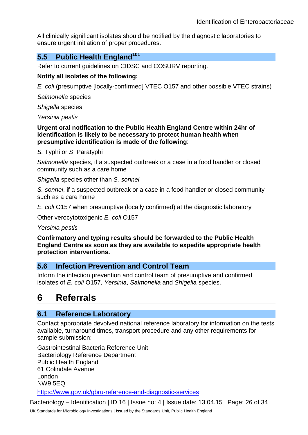All clinically significant isolates should be notified by the diagnostic laboratories to ensure urgent initiation of proper procedures.

### **5.5 Public Health England<sup>101</sup>**

Refer to current guidelines on CIDSC and COSURV reporting.

#### **Notify all isolates of the following:**

*E. coli* (presumptive [locally-confirmed] VTEC O157 and other possible VTEC strains)

*Salmonella* species

*Shigella* species

*Yersinia pestis*

**Urgent oral notification to the Public Health England Centre within 24hr of identification is likely to be necessary to protect human health when presumptive identification is made of the following**:

*S.* Typhi or *S*. Paratyphi

*Salmonella* species, if a suspected outbreak or a case in a food handler or closed community such as a care home

*Shigella* species other than *S. sonnei*

*S. sonnei*, if a suspected outbreak or a case in a food handler or closed community such as a care home

*E. coli* O157 when presumptive (locally confirmed) at the diagnostic laboratory

Other verocytotoxigenic *E. coli* O157

*Yersinia pestis*

**Confirmatory and typing results should be forwarded to the Public Health England Centre as soon as they are available to expedite appropriate health protection interventions.**

### **5.6 Infection Prevention and Control Team**

Inform the infection prevention and control team of presumptive and confirmed isolates of *E. coli* O157, *Yersinia*, *Salmonella* and *Shigella* species.

## **6 Referrals**

#### **6.1 Reference Laboratory**

Contact appropriate devolved national reference laboratory for information on the tests available, turnaround times, transport procedure and any other requirements for sample submission:

Gastrointestinal Bacteria Reference Unit Bacteriology Reference Department Public Health England 61 Colindale Avenue London NW9 5EQ <https://www.gov.uk/gbru-reference-and-diagnostic-services>

Bacteriology – Identification | ID 16 | Issue no: 4 | Issue date: 13.04.15 | Page: 26 of 34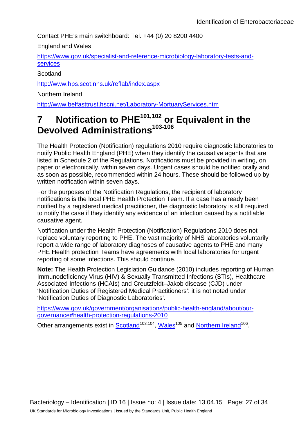Contact PHE's main switchboard: Tel. +44 (0) 20 8200 4400

England and Wales

[https://www.gov.uk/specialist-and-reference-microbiology-laboratory-tests-and](https://www.gov.uk/specialist-and-reference-microbiology-laboratory-tests-and-services)[services](https://www.gov.uk/specialist-and-reference-microbiology-laboratory-tests-and-services)

**Scotland** 

<http://www.hps.scot.nhs.uk/reflab/index.aspx>

Northern Ireland

<http://www.belfasttrust.hscni.net/Laboratory-MortuaryServices.htm>

## **7 Notification to PHE101,102 or Equivalent in the Devolved Administrations103-106**

The Health Protection (Notification) regulations 2010 require diagnostic laboratories to notify Public Health England (PHE) when they identify the causative agents that are listed in Schedule 2 of the Regulations. Notifications must be provided in writing, on paper or electronically, within seven days. Urgent cases should be notified orally and as soon as possible, recommended within 24 hours. These should be followed up by written notification within seven days.

For the purposes of the Notification Regulations, the recipient of laboratory notifications is the local PHE Health Protection Team. If a case has already been notified by a registered medical practitioner, the diagnostic laboratory is still required to notify the case if they identify any evidence of an infection caused by a notifiable causative agent.

Notification under the Health Protection (Notification) Regulations 2010 does not replace voluntary reporting to PHE. The vast majority of NHS laboratories voluntarily report a wide range of laboratory diagnoses of causative agents to PHE and many PHE Health protection Teams have agreements with local laboratories for urgent reporting of some infections. This should continue.

**Note:** The Health Protection Legislation Guidance (2010) includes reporting of Human Immunodeficiency Virus (HIV) & Sexually Transmitted Infections (STIs), Healthcare Associated Infections (HCAIs) and Creutzfeldt–Jakob disease (CJD) under 'Notification Duties of Registered Medical Practitioners': it is not noted under 'Notification Duties of Diagnostic Laboratories'.

[https://www.gov.uk/government/organisations/public-health-england/about/our](https://www.gov.uk/government/organisations/public-health-england/about/our-governance#health-protection-regulations-2010)[governance#health-protection-regulations-2010](https://www.gov.uk/government/organisations/public-health-england/about/our-governance#health-protection-regulations-2010)

Other arrangements exist in [Scotland](http://www.scotland.gov.uk/Topics/Health/Policy/Public-Health-Act/Implementation/Guidance/Guidance-Part2)<sup>103,104</sup>, Wales<sup>105</sup> and [Northern Ireland](http://www.publichealth.hscni.net/directorate-public-health/health-protection)<sup>106</sup>.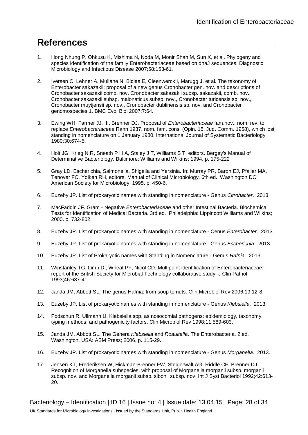## **References**

- 1. Hong Nhung P, Ohkusu K, Mishima N, Noda M, Monir Shah M, Sun X, et al. Phylogeny and species identification of the family Enterobacteriaceae based on dnaJ sequences. Diagnostic Microbiology and Infectious Disease 2007;58:153-61.
- 2. Iversen C, Lehner A, Mullane N, Bidlas E, Cleenwerck I, Marugg J, et al. The taxonomy of Enterobacter sakazakii: proposal of a new genus Cronobacter gen. nov. and descriptions of Cronobacter sakazakii comb. nov. Cronobacter sakazakii subsp. sakazakii, comb. nov., Cronobacter sakazakii subsp. malonaticus subsp. nov., Cronobacter turicensis sp. nov., Cronobacter muytjensii sp. nov., Cronobacter dublinensis sp. nov. and Cronobacter genomospecies 1. BMC Evol Biol 2007;7:64.
- 3. Ewing WH, Farmer JJ, III, Brenner DJ. Proposal of *Enterobacteriaceae* fam.nov., nom. rev. to replace *Enterobacteriaceae* Rahn 1937, nom. fam. cons. (Opin. 15, Jud. Comm. 1958), which lost standing in nomenclature on 1 January 1980. International Journal of Systematic Bacteriology 1980;30:674-5.
- 4. Holt JG, Krieg N R, Sneath P H A, Staley J T, Williams S T, editors. Bergey's Manual of Determinative Bacteriology. Baltimore: Williams and Wilkins; 1994. p. 175-222
- 5. Gray LD. Escherichia, Salmonella, Shigella and Yersinia. In: Murray PR, Baron EJ, Pfaller MA, Tenover FC, Yolken RH, editors. Manual of Clinical Microbiology. 6th ed. Washington DC: American Society for Microbiology; 1995. p. 450-6.
- 6. Euzeby,JP. List of prokaryotic names with standing in nomenclature Genus *Citrobacter*. 2013.
- 7. MacFaddin JF. Gram Negative *Enterobacteriaceae* and other Intestinal Bacteria. Biochemical Tests for Identification of Medical Bacteria. 3rd ed. Philadelphia: Lippincott Williams and Wilkins; 2000. p. 732-802.
- 8. Euzeby,JP. List of prokaryotic names with standing in nomenclature Cenus *Enterobacter*. 2013.
- 9. Euzeby,JP. List of prokaryotic names with standing in nomenclature Genus *Escherichia*. 2013.
- 10. Euzeby,JP. List of Prokaryotic names with Standing in Nomenclature Genus *Hafnia*. 2013.
- 11. Winstanley TG, Limb DI, Wheat PF, Nicol CD. Multipoint identification of Enterobacteriaceae: report of the British Society for Microbial Technology collaborative study. J Clin Pathol 1993;46:637-41.
- 12. Janda JM, Abbott SL. The genus Hafnia: from soup to nuts. Clin Microbiol Rev 2006;19:12-8.
- 13. Euzeby,JP. List of prokaryotic names with standing in nomenclature Genus *Klebsiella*. 2013.
- 14. Podschun R, Ullmann U. Klebsiella spp. as nosocomial pathogens: epidemiology, taxonomy, typing methods, and pathogenicity factors. Clin Microbiol Rev 1998;11:589-603.
- 15. Janda JM, Abbott SL. The Genera *Klebsiella* and *Roaultella*. The Enterobacteria. 2 ed. Washington, USA: ASM Press; 2006. p. 115-29.
- 16. Euzeby,JP. List of prokaryotic names with standing in nomenclature Genus *Morganella*. 2013.
- 17. Jensen KT, Frederiksen W, Hickman-Brenner FW, Steigerwalt AG, Riddle CF, Brenner DJ. Recognition of Morganella subspecies, with proposal of Morganella morganii subsp. morganii subsp. nov. and Morganella morganii subsp. sibonii subsp. nov. Int J Syst Bacteriol 1992;42:613- 20.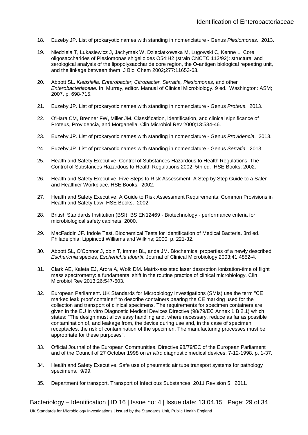- 18. Euzeby,JP. List of prokaryotic names with standing in nomenclature Genus *Plesiomonas*. 2013.
- 19. Niedziela T, Lukasiewicz J, Jachymek W, Dzieciatkowska M, Lugowski C, Kenne L. Core oligosaccharides of Plesiomonas shigelloides O54:H2 (strain CNCTC 113/92): structural and serological analysis of the lipopolysaccharide core region, the O-antigen biological repeating unit, and the linkage between them. J Biol Chem 2002;277:11653-63.
- 20. Abbott SL. *Klebsiella, Enterobacter, Citrobacter, Serratia, Plesiomonas, a*nd other *Enterobacteriaceae*. In: Murray, editor. Manual of Clinical Microbiology. 9 ed. Washington: ASM; 2007. p. 698-715.
- 21. Euzeby,JP. List of prokaryotic names with standing in nomenclature Genus *Proteus*. 2013.
- 22. O'Hara CM, Brenner FW, Miller JM. Classification, identification, and clinical significance of Proteus, Providencia, and Morganella. Clin Microbiol Rev 2000;13:534-46.
- 23. Euzeby,JP. List of prokaryotic names with standing in nomenclature Genus *Providencia*. 2013.
- 24. Euzeby,JP. List of prokaryotic names with standing in nomenclature Genus *Serratia*. 2013.
- 25. Health and Safety Executive. Control of Substances Hazardous to Health Regulations. The Control of Substances Hazardous to Health Regulations 2002. 5th ed. HSE Books; 2002.
- 26. Health and Safety Executive. Five Steps to Risk Assessment: A Step by Step Guide to a Safer and Healthier Workplace. HSE Books. 2002.
- 27. Health and Safety Executive. A Guide to Risk Assessment Requirements: Common Provisions in Health and Safety Law. HSE Books. 2002.
- 28. British Standards Institution (BSI). BS EN12469 Biotechnology performance criteria for microbiological safety cabinets. 2000.
- 29. MacFaddin JF. Indole Test. Biochemical Tests for Identification of Medical Bacteria. 3rd ed. Philadelphia: Lippincott Williams and Wilkins; 2000. p. 221-32.
- 30. Abbott SL, O'Connor J, obin T, immer BL, anda JM. Biochemical properties of a newly described *Escherichia* species, *Escherichia albertii*. Journal of Clinical Microbiology 2003;41:4852-4.
- 31. Clark AE, Kaleta EJ, Arora A, Wolk DM. Matrix-assisted laser desorption ionization-time of flight mass spectrometry: a fundamental shift in the routine practice of clinical microbiology. Clin Microbiol Rev 2013;26:547-603.
- 32. European Parliament. UK Standards for Microbiology Investigations (SMIs) use the term "CE marked leak proof container" to describe containers bearing the CE marking used for the collection and transport of clinical specimens. The requirements for specimen containers are given in the EU in vitro Diagnostic Medical Devices Directive (98/79/EC Annex 1 B 2.1) which states: "The design must allow easy handling and, where necessary, reduce as far as possible contamination of, and leakage from, the device during use and, in the case of specimen receptacles, the risk of contamination of the specimen. The manufacturing processes must be appropriate for these purposes".
- 33. Official Journal of the European Communities. Directive 98/79/EC of the European Parliament and of the Council of 27 October 1998 on *in vitro* diagnostic medical devices. 7-12-1998. p. 1-37.
- 34. Health and Safety Executive. Safe use of pneumatic air tube transport systems for pathology specimens. 9/99.
- 35. Department for transport. Transport of Infectious Substances, 2011 Revision 5. 2011.

Bacteriology – Identification | ID 16 | Issue no: 4 | Issue date: 13.04.15 | Page: 29 of 34 UK Standards for Microbiology Investigations | Issued by the Standards Unit, Public Health England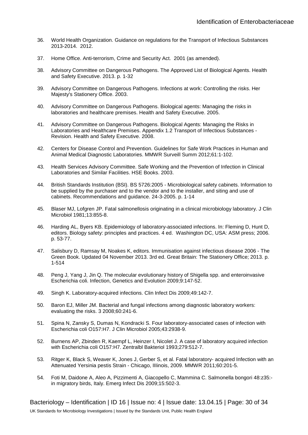- 36. World Health Organization. Guidance on regulations for the Transport of Infectious Substances 2013-2014. 2012.
- 37. Home Office. Anti-terrorism, Crime and Security Act. 2001 (as amended).
- 38. Advisory Committee on Dangerous Pathogens. The Approved List of Biological Agents. Health and Safety Executive. 2013. p. 1-32
- 39. Advisory Committee on Dangerous Pathogens. Infections at work: Controlling the risks. Her Majesty's Stationery Office. 2003.
- 40. Advisory Committee on Dangerous Pathogens. Biological agents: Managing the risks in laboratories and healthcare premises. Health and Safety Executive. 2005.
- 41. Advisory Committee on Dangerous Pathogens. Biological Agents: Managing the Risks in Laboratories and Healthcare Premises. Appendix 1.2 Transport of Infectious Substances - Revision. Health and Safety Executive. 2008.
- 42. Centers for Disease Control and Prevention. Guidelines for Safe Work Practices in Human and Animal Medical Diagnostic Laboratories. MMWR Surveill Summ 2012;61:1-102.
- 43. Health Services Advisory Committee. Safe Working and the Prevention of Infection in Clinical Laboratories and Similar Facilities. HSE Books. 2003.
- 44. British Standards Institution (BSI). BS 5726:2005 Microbiological safety cabinets. Information to be supplied by the purchaser and to the vendor and to the installer, and siting and use of cabinets. Recommendations and guidance. 24-3-2005. p. 1-14
- 45. Blaser MJ, Lofgren JP. Fatal salmonellosis originating in a clinical microbiology laboratory. J Clin Microbiol 1981;13:855-8.
- 46. Harding AL, Byers KB. Epidemiology of laboratory-associated infections. In: Fleming D, Hunt D, editors. Biology safety: principles and practices. 4 ed. Washington DC, USA: ASM press; 2006. p. 53-77.
- 47. Salisbury D, Ramsay M, Noakes K, editors. Immunisation against infectious disease 2006 The Green Book. Updated 04 November 2013. 3rd ed. Great Britain: The Stationery Office; 2013. p. 1-514
- 48. Peng J, Yang J, Jin Q. The molecular evolutionary history of Shigella spp. and enteroinvasive Escherichia coli. Infection, Genetics and Evolution 2009;9:147-52.
- 49. Singh K. Laboratory-acquired infections. Clin Infect Dis 2009;49:142-7.
- 50. Baron EJ, Miller JM. Bacterial and fungal infections among diagnostic laboratory workers: evaluating the risks. 3 2008;60:241-6.
- 51. Spina N, Zansky S, Dumas N, Kondracki S. Four laboratory-associated cases of infection with Escherichia coli O157:H7. J Clin Microbiol 2005;43:2938-9.
- 52. Burnens AP, Zbinden R, Kaempf L, Heinzer I, Nicolet J. A case of laboratory acquired infection with Escherichia coli O157:H7. Zentralbl Bakteriol 1993;279:512-7.
- 53. Ritger K, Black S, Weaver K, Jones J, Gerber S, et al. Fatal laboratory- acquired Infection with an Attenuated Yersinia pestis Strain - Chicago, IIIinois, 2009. MMWR 2011;60:201-5.
- 54. Foti M, Daidone A, Aleo A, Pizzimenti A, Giacopello C, Mammina C. Salmonella bongori 48:z35: in migratory birds, Italy. Emerg Infect Dis 2009;15:502-3.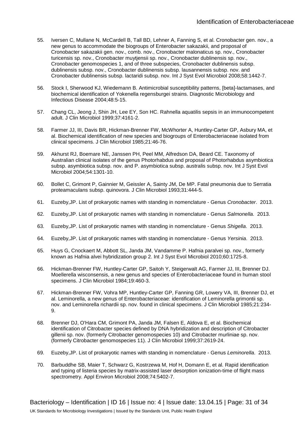- 55. Iversen C, Mullane N, McCardell B, Tall BD, Lehner A, Fanning S, et al. Cronobacter gen. nov., a new genus to accommodate the biogroups of Enterobacter sakazakii, and proposal of Cronobacter sakazakii gen. nov., comb. nov., Cronobacter malonaticus sp. nov., Cronobacter turicensis sp. nov., Cronobacter muytjensii sp. nov., Cronobacter dublinensis sp. nov., Cronobacter genomospecies 1, and of three subspecies, Cronobacter dublinensis subsp. dublinensis subsp. nov., Cronobacter dublinensis subsp. lausannensis subsp. nov. and Cronobacter dublinensis subsp. lactaridi subsp. nov. Int J Syst Evol Microbiol 2008;58:1442-7.
- 56. Stock I, Sherwood KJ, Wiedemann B. Antimicrobial susceptibility patterns, [beta]-lactamases, and biochemical identification of Yokenella regensburgei strains. Diagnostic Microbiology and Infectious Disease 2004;48:5-15.
- 57. Chang CL, Jeong J, Shin JH, Lee EY, Son HC. Rahnella aquatilis sepsis in an immunocompetent adult. J Clin Microbiol 1999;37:4161-2.
- 58. Farmer JJ, III, Davis BR, Hickman-Brenner FW, McWhorter A, Huntley-Carter GP, Asbury MA, et al. Biochemical identification of new species and biogroups of Enterobacteriaceae isolated from clinical specimens. J Clin Microbiol 1985;21:46-76.
- 59. Akhurst RJ, Boemare NE, Janssen PH, Peel MM, Alfredson DA, Beard CE. Taxonomy of Australian clinical isolates of the genus Photorhabdus and proposal of Photorhabdus asymbiotica subsp. asymbiotica subsp. nov. and P. asymbiotica subsp. australis subsp. nov. Int J Syst Evol Microbiol 2004;54:1301-10.
- 60. Bollet C, Grimont P, Gainnier M, Geissler A, Sainty JM, De MP. Fatal pneumonia due to Serratia proteamaculans subsp. quinovora. J Clin Microbiol 1993;31:444-5.
- 61. Euzeby,JP. List of prokaryotic names with standing in nomenclature Genus *Cronobacter*. 2013.
- 62. Euzeby,JP. List of prokaryotic names with standing in nomenclature Genus *Salmonella*. 2013.
- 63. Euzeby,JP. List of prokaryotic names with standing in nomenclature Genus *Shigella*. 2013.
- 64. Euzeby,JP. List of prokaryotic names with standing in nomenclature Genus *Yersinia*. 2013.
- 65. Huys G, Cnockaert M, Abbott SL, Janda JM, Vandamme P. Hafnia paralvei sp. nov., formerly known as Hafnia alvei hybridization group 2. Int J Syst Evol Microbiol 2010;60:1725-8.
- 66. Hickman-Brenner FW, Huntley-Carter GP, Saitoh Y, Steigerwalt AG, Farmer JJ, III, Brenner DJ. Moellerella wisconsensis, a new genus and species of Enterobacteriaceae found in human stool specimens. J Clin Microbiol 1984;19:460-3.
- 67. Hickman-Brenner FW, Vohra MP, Huntley-Carter GP, Fanning GR, Lowery VA, III, Brenner DJ, et al. Leminorella, a new genus of Enterobacteriaceae: identification of Leminorella grimontii sp. nov. and Leminorella richardii sp. nov. found in clinical specimens. J Clin Microbiol 1985;21:234- 9.
- 68. Brenner DJ, O'Hara CM, Grimont PA, Janda JM, Falsen E, Aldova E, et al. Biochemical identification of Citrobacter species defined by DNA hybridization and description of Citrobacter gillenii sp. nov. (formerly Citrobacter genomospecies 10) and Citrobacter murliniae sp. nov. (formerly Citrobacter genomospecies 11). J Clin Microbiol 1999;37:2619-24.
- 69. Euzeby,JP. List of prokaryotic names with standing in nomenclature Genus *Leminorella*. 2013.
- 70. Barbuddhe SB, Maier T, Schwarz G, Kostrzewa M, Hof H, Domann E, et al. Rapid identification and typing of listeria species by matrix-assisted laser desorption ionization-time of flight mass spectrometry. Appl Environ Microbiol 2008:74:5402-7.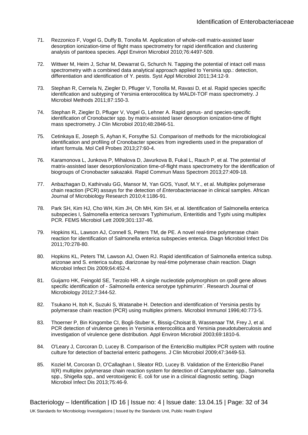- 71. Rezzonico F, Vogel G, Duffy B, Tonolla M. Application of whole-cell matrix-assisted laser desorption ionization-time of flight mass spectrometry for rapid identification and clustering analysis of pantoea species. Appl Environ Microbiol 2010;76:4497-509.
- 72. Wittwer M, Heim J, Schar M, Dewarrat G, Schurch N. Tapping the potential of intact cell mass spectrometry with a combined data analytical approach applied to Yersinia spp.: detection, differentiation and identification of Y. pestis. Syst Appl Microbiol 2011;34:12-9.
- 73. Stephan R, Cernela N, Ziegler D, Pfluger V, Tonolla M, Ravasi D, et al. Rapid species specific identification and subtyping of Yersinia enterocolitica by MALDI-TOF mass spectrometry. J Microbiol Methods 2011;87:150-3.
- 74. Stephan R, Ziegler D, Pfluger V, Vogel G, Lehner A. Rapid genus- and species-specific identification of Cronobacter spp. by matrix-assisted laser desorption ionization-time of flight mass spectrometry. J Clin Microbiol 2010;48:2846-51.
- 75. Cetinkaya E, Joseph S, Ayhan K, Forsythe SJ. Comparison of methods for the microbiological identification and profiling of Cronobacter species from ingredients used in the preparation of infant formula. Mol Cell Probes 2013;27:60-4.
- 76. Karamonova L, Junkova P, Mihalova D, Javurkova B, Fukal L, Rauch P, et al. The potential of matrix-assisted laser desorption/ionization time-of-flight mass spectrometry for the identification of biogroups of Cronobacter sakazakii. Rapid Commun Mass Spectrom 2013;27:409-18.
- 77. Anbazhagan D, Kathirvalu GG, Mansor M, Yan GOS, Yusof, M.Y., et al. Multiplex polymerase chain reaction (PCR) assays for the detection of *Enterobacteriaceae* in clinical samples. African Journal of Microbiology Research 2010;4:1186-91.
- 78. Park SH, Kim HJ, Cho WH, Kim JH, Oh MH, Kim SH, et al. Identification of Salmonella enterica subspecies I, Salmonella enterica serovars Typhimurium, Enteritidis and Typhi using multiplex PCR. FEMS Microbiol Lett 2009;301:137-46.
- 79. Hopkins KL, Lawson AJ, Connell S, Peters TM, de PE. A novel real-time polymerase chain reaction for identification of Salmonella enterica subspecies enterica. Diagn Microbiol Infect Dis 2011;70:278-80.
- 80. Hopkins KL, Peters TM, Lawson AJ, Owen RJ. Rapid identification of Salmonella enterica subsp. arizonae and S. enterica subsp. diarizonae by real-time polymerase chain reaction. Diagn Microbiol Infect Dis 2009;64:452-4.
- 81. Guijarro HK, Feingold SE, Terzolo HR. A single nucleotide polymorphism on *rpoB* gene allows specific identification of - *Salmonella enterica* serotype typhimurim`. Research Journal of Microbiology 2012;7:344-52.
- 82. Tsukano H, Itoh K, Suzuki S, Watanabe H. Detection and identification of Yersinia pestis by polymerase chain reaction (PCR) using multiplex primers. Microbiol Immunol 1996;40:773-5.
- 83. Thoerner P, Bin Kingombe CI, Bogli-Stuber K, Bissig-Choisat B, Wassenaar TM, Frey J, et al. PCR detection of virulence genes in Yersinia enterocolitica and Yersinia pseudotuberculosis and investigation of virulence gene distribution. Appl Environ Microbiol 2003;69:1810-6.
- 84. O'Leary J, Corcoran D, Lucey B. Comparison of the EntericBio multiplex PCR system with routine culture for detection of bacterial enteric pathogens. J Clin Microbiol 2009;47:3449-53.
- 85. Koziel M, Corcoran D, O'Callaghan I, Sleator RD, Lucey B. Validation of the EntericBio Panel II(R) multiplex polymerase chain reaction system for detection of Campylobacter spp., Salmonella spp., Shigella spp., and verotoxigenic E. coli for use in a clinical diagnostic setting. Diagn Microbiol Infect Dis 2013;75:46-9.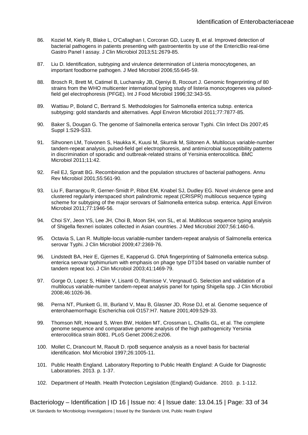- 86. Koziel M, Kiely R, Blake L, O'Callaghan I, Corcoran GD, Lucey B, et al. Improved detection of bacterial pathogens in patients presenting with gastroenteritis by use of the EntericBio real-time Gastro Panel I assay. J Clin Microbiol 2013;51:2679-85.
- 87. Liu D. Identification, subtyping and virulence determination of Listeria monocytogenes, an important foodborne pathogen. J Med Microbiol 2006;55:645-59.
- 88. Brosch R, Brett M, Catimel B, Luchansky JB, Ojeniyi B, Rocourt J. Genomic fingerprinting of 80 strains from the WHO multicenter international typing study of listeria monocytogenes via pulsedfield gel electrophoresis (PFGE). Int J Food Microbiol 1996;32:343-55.
- 89. Wattiau P, Boland C, Bertrand S. Methodologies for Salmonella enterica subsp. enterica subtyping: gold standards and alternatives. Appl Environ Microbiol 2011;77:7877-85.
- 90. Baker S, Dougan G. The genome of Salmonella enterica serovar Typhi. Clin Infect Dis 2007;45 Suppl 1:S29-S33.
- 91. Sihvonen LM, Toivonen S, Haukka K, Kuusi M, Skurnik M, Siitonen A. Multilocus variable-number tandem-repeat analysis, pulsed-field gel electrophoresis, and antimicrobial susceptibility patterns in discrimination of sporadic and outbreak-related strains of Yersinia enterocolitica. BMC Microbiol 2011;11:42.
- 92. Feil EJ, Spratt BG. Recombination and the population structures of bacterial pathogens. Annu Rev Microbiol 2001;55:561-90.
- 93. Liu F, Barrangou R, Gerner-Smidt P, Ribot EM, Knabel SJ, Dudley EG. Novel virulence gene and clustered regularly interspaced short palindromic repeat (CRISPR) multilocus sequence typing scheme for subtyping of the major serovars of Salmonella enterica subsp. enterica. Appl Environ Microbiol 2011;77:1946-56.
- 94. Choi SY, Jeon YS, Lee JH, Choi B, Moon SH, von SL, et al. Multilocus sequence typing analysis of Shigella flexneri isolates collected in Asian countries. J Med Microbiol 2007;56:1460-6.
- 95. Octavia S, Lan R. Multiple-locus variable-number tandem-repeat analysis of Salmonella enterica serovar Typhi. J Clin Microbiol 2009;47:2369-76.
- 96. Lindstedt BA, Heir E, Gjernes E, Kapperud G. DNA fingerprinting of Salmonella enterica subsp. enterica serovar typhimurium with emphasis on phage type DT104 based on variable number of tandem repeat loci. J Clin Microbiol 2003;41:1469-79.
- 97. Gorge O, Lopez S, Hilaire V, Lisanti O, Ramisse V, Vergnaud G. Selection and validation of a multilocus variable-number tandem-repeat analysis panel for typing Shigella spp. J Clin Microbiol 2008;46:1026-36.
- 98. Perna NT, Plunkett G, III, Burland V, Mau B, Glasner JD, Rose DJ, et al. Genome sequence of enterohaemorrhagic Escherichia coli O157:H7. Nature 2001;409:529-33.
- 99. Thomson NR, Howard S, Wren BW, Holden MT, Crossman L, Challis GL, et al. The complete genome sequence and comparative genome analysis of the high pathogenicity Yersinia enterocolitica strain 8081. PLoS Genet 2006;2:e206.
- 100. Mollet C, Drancourt M, Raoult D. rpoB sequence analysis as a novel basis for bacterial identification. Mol Microbiol 1997;26:1005-11.
- 101. Public Health England. Laboratory Reporting to Public Health England: A Guide for Diagnostic Laboratories. 2013. p. 1-37.
- 102. Department of Health. Health Protection Legislation (England) Guidance. 2010. p. 1-112.

Bacteriology – Identification | ID 16 | Issue no: 4 | Issue date: 13.04.15 | Page: 33 of 34 UK Standards for Microbiology Investigations | Issued by the Standards Unit, Public Health England